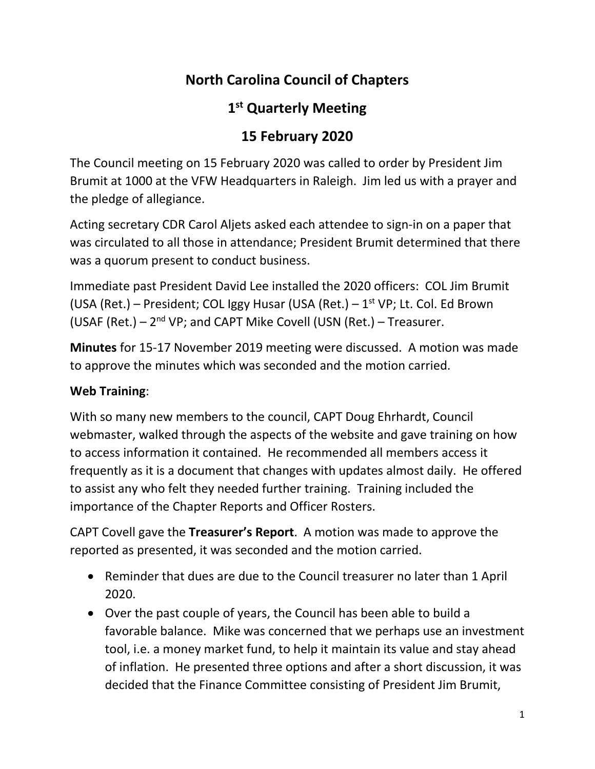# **North Carolina Council of Chapters**

# **1 st Quarterly Meeting**

## **15 February 2020**

The Council meeting on 15 February 2020 was called to order by President Jim Brumit at 1000 at the VFW Headquarters in Raleigh. Jim led us with a prayer and the pledge of allegiance.

Acting secretary CDR Carol Aljets asked each attendee to sign-in on a paper that was circulated to all those in attendance; President Brumit determined that there was a quorum present to conduct business.

Immediate past President David Lee installed the 2020 officers: COL Jim Brumit (USA (Ret.) – President; COL Iggy Husar (USA (Ret.) –  $1<sup>st</sup> VP$ ; Lt. Col. Ed Brown (USAF (Ret.)  $-2<sup>nd</sup> VP$ ; and CAPT Mike Covell (USN (Ret.)  $-$  Treasurer.

**Minutes** for 15-17 November 2019 meeting were discussed. A motion was made to approve the minutes which was seconded and the motion carried.

## **Web Training**:

With so many new members to the council, CAPT Doug Ehrhardt, Council webmaster, walked through the aspects of the website and gave training on how to access information it contained. He recommended all members access it frequently as it is a document that changes with updates almost daily. He offered to assist any who felt they needed further training. Training included the importance of the Chapter Reports and Officer Rosters.

CAPT Covell gave the **Treasurer's Report**. A motion was made to approve the reported as presented, it was seconded and the motion carried.

- Reminder that dues are due to the Council treasurer no later than 1 April 2020.
- Over the past couple of years, the Council has been able to build a favorable balance. Mike was concerned that we perhaps use an investment tool, i.e. a money market fund, to help it maintain its value and stay ahead of inflation. He presented three options and after a short discussion, it was decided that the Finance Committee consisting of President Jim Brumit,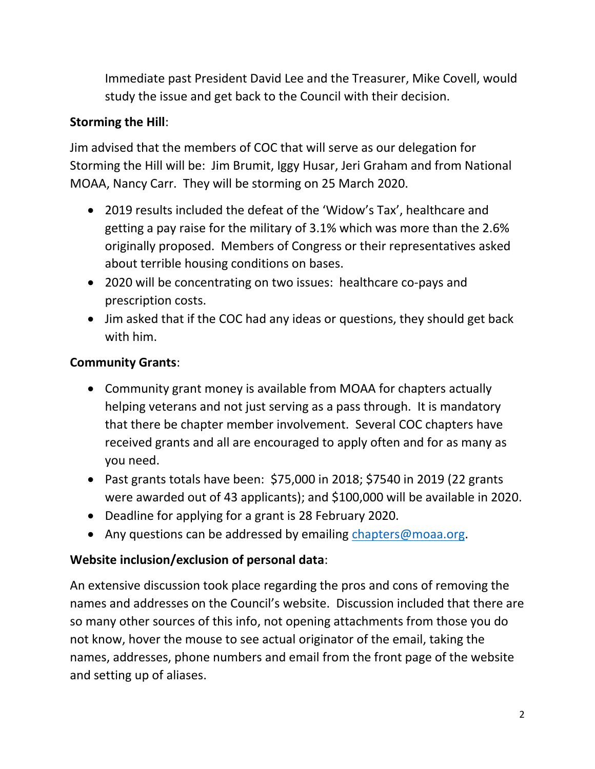Immediate past President David Lee and the Treasurer, Mike Covell, would study the issue and get back to the Council with their decision.

### **Storming the Hill**:

Jim advised that the members of COC that will serve as our delegation for Storming the Hill will be: Jim Brumit, Iggy Husar, Jeri Graham and from National MOAA, Nancy Carr. They will be storming on 25 March 2020.

- 2019 results included the defeat of the 'Widow's Tax', healthcare and getting a pay raise for the military of 3.1% which was more than the 2.6% originally proposed. Members of Congress or their representatives asked about terrible housing conditions on bases.
- 2020 will be concentrating on two issues: healthcare co-pays and prescription costs.
- Jim asked that if the COC had any ideas or questions, they should get back with him.

### **Community Grants**:

- Community grant money is available from MOAA for chapters actually helping veterans and not just serving as a pass through. It is mandatory that there be chapter member involvement. Several COC chapters have received grants and all are encouraged to apply often and for as many as you need.
- Past grants totals have been:  $$75,000$  in 2018;  $$7540$  in 2019 (22 grants were awarded out of 43 applicants); and \$100,000 will be available in 2020.
- Deadline for applying for a grant is 28 February 2020.
- Any questions can be addressed by emailing [chapters@moaa.org.](mailto:chapters@moaa.org)

## **Website inclusion/exclusion of personal data**:

An extensive discussion took place regarding the pros and cons of removing the names and addresses on the Council's website. Discussion included that there are so many other sources of this info, not opening attachments from those you do not know, hover the mouse to see actual originator of the email, taking the names, addresses, phone numbers and email from the front page of the website and setting up of aliases.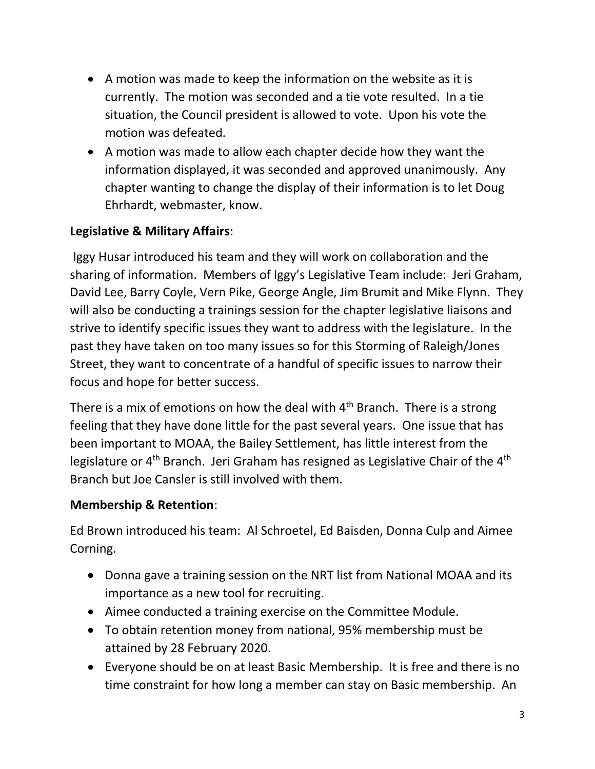- A motion was made to keep the information on the website as it is currently. The motion was seconded and a tie vote resulted. In a tie situation, the Council president is allowed to vote. Upon his vote the motion was defeated.
- A motion was made to allow each chapter decide how they want the information displayed, it was seconded and approved unanimously. Any chapter wanting to change the display of their information is to let Doug Ehrhardt, webmaster, know.

## **Legislative & Military Affairs**:

Iggy Husar introduced his team and they will work on collaboration and the sharing of information. Members of Iggy's Legislative Team include: Jeri Graham, David Lee, Barry Coyle, Vern Pike, George Angle, Jim Brumit and Mike Flynn. They will also be conducting a trainings session for the chapter legislative liaisons and strive to identify specific issues they want to address with the legislature. In the past they have taken on too many issues so for this Storming of Raleigh/Jones Street, they want to concentrate of a handful of specific issues to narrow their focus and hope for better success.

There is a mix of emotions on how the deal with  $4<sup>th</sup>$  Branch. There is a strong feeling that they have done little for the past several years. One issue that has been important to MOAA, the Bailey Settlement, has little interest from the legislature or  $4^{\text{th}}$  Branch. Jeri Graham has resigned as Legislative Chair of the  $4^{\text{th}}$ Branch but Joe Cansler is still involved with them.

#### **Membership & Retention**:

Ed Brown introduced his team: Al Schroetel, Ed Baisden, Donna Culp and Aimee Corning.

- Donna gave a training session on the NRT list from National MOAA and its importance as a new tool for recruiting.
- Aimee conducted a training exercise on the Committee Module.
- To obtain retention money from national, 95% membership must be attained by 28 February 2020.
- Everyone should be on at least Basic Membership. It is free and there is no time constraint for how long a member can stay on Basic membership. An